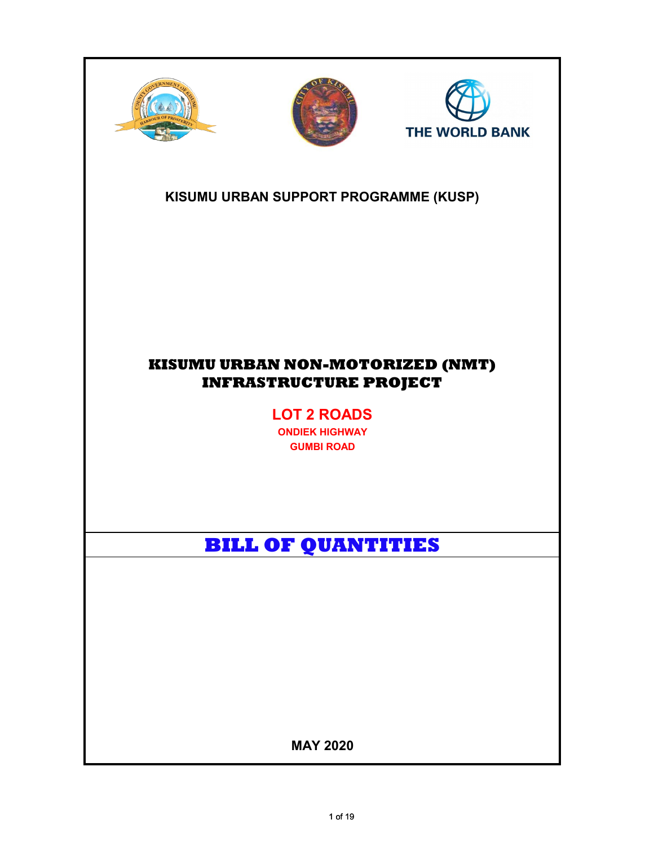





## KISUMU URBAN SUPPORT PROGRAMME (KUSP)

## KISUMU URBAN NON-MOTORIZED (NMT) INFRASTRUCTURE PROJECT

LOT 2 ROADS

ONDIEK HIGHWAY GUMBI ROAD

# BILL OF QUANTITIES

MAY 2020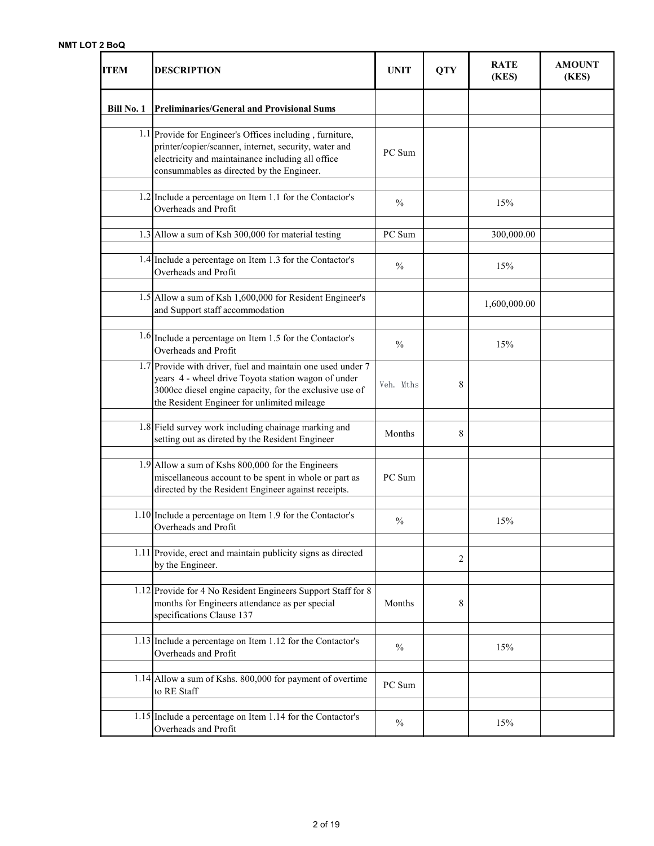| <b>ITEM</b>       | <b>DESCRIPTION</b>                                                                                                                                                                                                           | <b>UNIT</b>   | <b>QTY</b>     | <b>RATE</b><br>(KES) | <b>AMOUNT</b><br>(KES) |
|-------------------|------------------------------------------------------------------------------------------------------------------------------------------------------------------------------------------------------------------------------|---------------|----------------|----------------------|------------------------|
| <b>Bill No. 1</b> | <b>Preliminaries/General and Provisional Sums</b>                                                                                                                                                                            |               |                |                      |                        |
|                   | 1.1 Provide for Engineer's Offices including, furniture,<br>printer/copier/scanner, internet, security, water and<br>electricity and maintainance including all office<br>consummables as directed by the Engineer.          | PC Sum        |                |                      |                        |
|                   | 1.2 Include a percentage on Item 1.1 for the Contactor's<br>Overheads and Profit                                                                                                                                             | $\frac{0}{0}$ |                | 15%                  |                        |
|                   | 1.3 Allow a sum of Ksh 300,000 for material testing                                                                                                                                                                          | PC Sum        |                | 300,000.00           |                        |
|                   | 1.4 Include a percentage on Item 1.3 for the Contactor's<br>Overheads and Profit                                                                                                                                             | $\frac{0}{0}$ |                | 15%                  |                        |
|                   | 1.5 Allow a sum of Ksh 1,600,000 for Resident Engineer's<br>and Support staff accommodation                                                                                                                                  |               |                | 1,600,000.00         |                        |
|                   | $1.6$ Include a percentage on Item 1.5 for the Contactor's<br>Overheads and Profit                                                                                                                                           | $\frac{0}{0}$ |                | 15%                  |                        |
|                   | 1.7 Provide with driver, fuel and maintain one used under 7<br>years 4 - wheel drive Toyota station wagon of under<br>3000cc diesel engine capacity, for the exclusive use of<br>the Resident Engineer for unlimited mileage | Veh. Mths     | 8              |                      |                        |
|                   | 1.8 Field survey work including chainage marking and<br>setting out as direted by the Resident Engineer                                                                                                                      | Months        | 8              |                      |                        |
|                   | 1.9 Allow a sum of Kshs 800,000 for the Engineers<br>miscellaneous account to be spent in whole or part as<br>directed by the Resident Engineer against receipts.                                                            | PC Sum        |                |                      |                        |
|                   | $1.10$ Include a percentage on Item 1.9 for the Contactor's<br>Overheads and Profit                                                                                                                                          | $\%$          |                | 15%                  |                        |
|                   | 1.11 Provide, erect and maintain publicity signs as directed<br>by the Engineer.                                                                                                                                             |               | $\overline{c}$ |                      |                        |
|                   | 1.12 Provide for 4 No Resident Engineers Support Staff for 8<br>months for Engineers attendance as per special<br>specifications Clause 137                                                                                  | Months        | 8              |                      |                        |
|                   | 1.13 Include a percentage on Item 1.12 for the Contactor's<br>Overheads and Profit                                                                                                                                           | $\frac{0}{0}$ |                | 15%                  |                        |
|                   | 1.14 Allow a sum of Kshs. 800,000 for payment of overtime<br>to RE Staff                                                                                                                                                     | PC Sum        |                |                      |                        |
|                   | 1.15 Include a percentage on Item 1.14 for the Contactor's<br>Overheads and Profit                                                                                                                                           | $\frac{0}{0}$ |                | 15%                  |                        |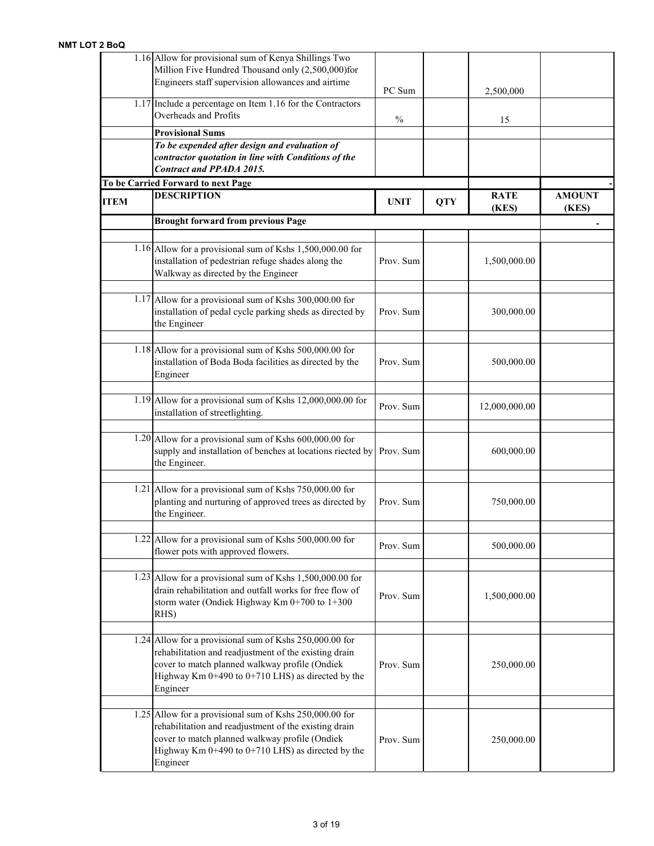|             | 1.16 Allow for provisional sum of Kenya Shillings Two<br>Million Five Hundred Thousand only (2,500,000)for<br>Engineers staff supervision allowances and airtime                                                                        | PC Sum        |            | 2,500,000            |                        |
|-------------|-----------------------------------------------------------------------------------------------------------------------------------------------------------------------------------------------------------------------------------------|---------------|------------|----------------------|------------------------|
|             | 1.17 Include a percentage on Item 1.16 for the Contractors<br>Overheads and Profits                                                                                                                                                     | $\frac{0}{0}$ |            | 15                   |                        |
|             | <b>Provisional Sums</b>                                                                                                                                                                                                                 |               |            |                      |                        |
|             | To be expended after design and evaluation of<br>contractor quotation in line with Conditions of the<br><b>Contract and PPADA 2015.</b>                                                                                                 |               |            |                      |                        |
|             | To be Carried Forward to next Page                                                                                                                                                                                                      |               |            |                      |                        |
| <b>ITEM</b> | <b>DESCRIPTION</b>                                                                                                                                                                                                                      | <b>UNIT</b>   | <b>QTY</b> | <b>RATE</b><br>(KES) | <b>AMOUNT</b><br>(KES) |
|             | <b>Brought forward from previous Page</b>                                                                                                                                                                                               |               |            |                      |                        |
|             | 1.16 Allow for a provisional sum of Kshs $1,500,000.00$ for<br>installation of pedestrian refuge shades along the<br>Walkway as directed by the Engineer                                                                                | Prov. Sum     |            | 1,500,000.00         |                        |
|             | 1.17 Allow for a provisional sum of Kshs 300,000.00 for<br>installation of pedal cycle parking sheds as directed by<br>the Engineer                                                                                                     | Prov. Sum     |            | 300,000.00           |                        |
|             | $1.18$ Allow for a provisional sum of Kshs 500,000.00 for<br>installation of Boda Boda facilities as directed by the<br>Engineer                                                                                                        | Prov. Sum     |            | 500,000.00           |                        |
|             | 1.19 Allow for a provisional sum of Kshs 12,000,000.00 for<br>installation of streetlighting.                                                                                                                                           | Prov. Sum     |            | 12,000,000.00        |                        |
|             | 1.20 Allow for a provisional sum of Kshs 600,000.00 for<br>supply and installation of benches at locations riected by<br>the Engineer.                                                                                                  | Prov. Sum     |            | 600,000.00           |                        |
|             | 1.21 Allow for a provisional sum of Kshs 750,000.00 for<br>planting and nurturing of approved trees as directed by<br>the Engineer.                                                                                                     | Prov. Sum     |            | 750,000.00           |                        |
|             | $1.22$ Allow for a provisional sum of Kshs 500,000.00 for<br>flower pots with approved flowers.                                                                                                                                         | Prov. Sum     |            | 500,000.00           |                        |
|             | 1.23 Allow for a provisional sum of Kshs $1,500,000.00$ for<br>drain rehabilitation and outfall works for free flow of<br>storm water (Ondiek Highway Km 0+700 to 1+300<br>RHS)                                                         | Prov. Sum     |            | 1,500,000.00         |                        |
|             | 1.24 Allow for a provisional sum of Kshs 250,000.00 for<br>rehabilitation and readjustment of the existing drain<br>cover to match planned walkway profile (Ondiek<br>Highway Km $0+490$ to $0+710$ LHS) as directed by the<br>Engineer | Prov. Sum     |            | 250,000.00           |                        |
|             | 1.25 Allow for a provisional sum of Kshs 250,000.00 for<br>rehabilitation and readjustment of the existing drain<br>cover to match planned walkway profile (Ondiek<br>Highway Km $0+490$ to $0+710$ LHS) as directed by the<br>Engineer | Prov. Sum     |            | 250,000.00           |                        |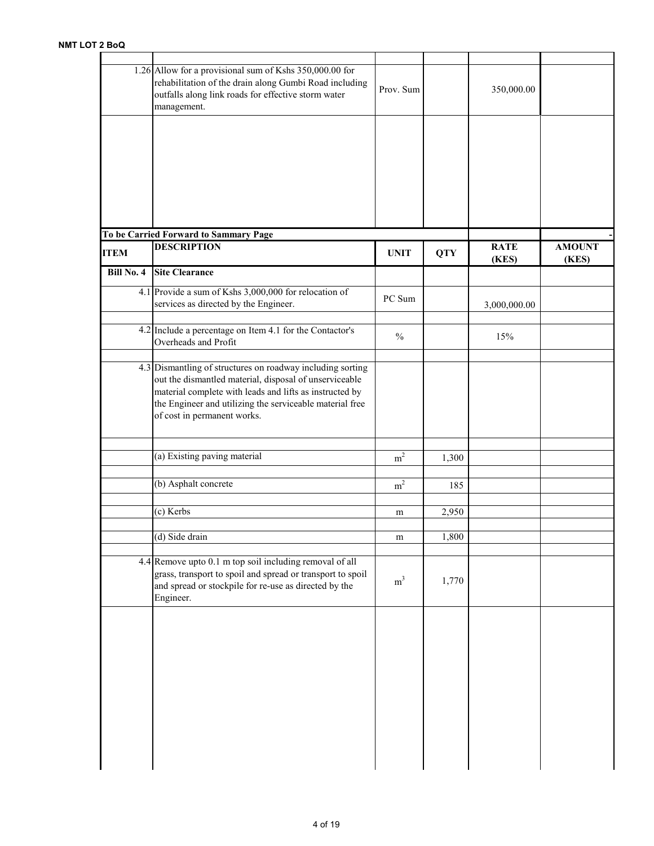|                   | 1.26 Allow for a provisional sum of Kshs 350,000.00 for<br>rehabilitation of the drain along Gumbi Road including<br>outfalls along link roads for effective storm water<br>management.                                                                                    | Prov. Sum      |            | 350,000.00           |                        |
|-------------------|----------------------------------------------------------------------------------------------------------------------------------------------------------------------------------------------------------------------------------------------------------------------------|----------------|------------|----------------------|------------------------|
|                   |                                                                                                                                                                                                                                                                            |                |            |                      |                        |
|                   |                                                                                                                                                                                                                                                                            |                |            |                      |                        |
|                   | To be Carried Forward to Sammary Page                                                                                                                                                                                                                                      |                |            |                      |                        |
| <b>ITEM</b>       | <b>DESCRIPTION</b>                                                                                                                                                                                                                                                         | <b>UNIT</b>    | <b>QTY</b> | <b>RATE</b><br>(KES) | <b>AMOUNT</b><br>(KES) |
| <b>Bill No. 4</b> | <b>Site Clearance</b>                                                                                                                                                                                                                                                      |                |            |                      |                        |
|                   | 4.1 Provide a sum of Kshs 3,000,000 for relocation of<br>services as directed by the Engineer.                                                                                                                                                                             | PC Sum         |            | 3,000,000.00         |                        |
|                   | $4.2$ Include a percentage on Item 4.1 for the Contactor's<br>Overheads and Profit                                                                                                                                                                                         | $\%$           |            | 15%                  |                        |
|                   | 4.3 Dismantling of structures on roadway including sorting<br>out the dismantled material, disposal of unserviceable<br>material complete with leads and lifts as instructed by<br>the Engineer and utilizing the serviceable material free<br>of cost in permanent works. |                |            |                      |                        |
|                   | (a) Existing paving material                                                                                                                                                                                                                                               | m <sup>2</sup> | 1,300      |                      |                        |
|                   | (b) Asphalt concrete                                                                                                                                                                                                                                                       | m <sup>2</sup> | 185        |                      |                        |
|                   | (c) Kerbs                                                                                                                                                                                                                                                                  | m              | 2,950      |                      |                        |
|                   | (d) Side drain                                                                                                                                                                                                                                                             | ${\rm m}$      | 1,800      |                      |                        |
|                   | 4.4 Remove upto 0.1 m top soil including removal of all<br>grass, transport to spoil and spread or transport to spoil<br>and spread or stockpile for re-use as directed by the<br>Engineer.                                                                                | m <sup>3</sup> | 1,770      |                      |                        |
|                   |                                                                                                                                                                                                                                                                            |                |            |                      |                        |
|                   |                                                                                                                                                                                                                                                                            |                |            |                      |                        |
|                   |                                                                                                                                                                                                                                                                            |                |            |                      |                        |
|                   |                                                                                                                                                                                                                                                                            |                |            |                      |                        |
|                   |                                                                                                                                                                                                                                                                            |                |            |                      |                        |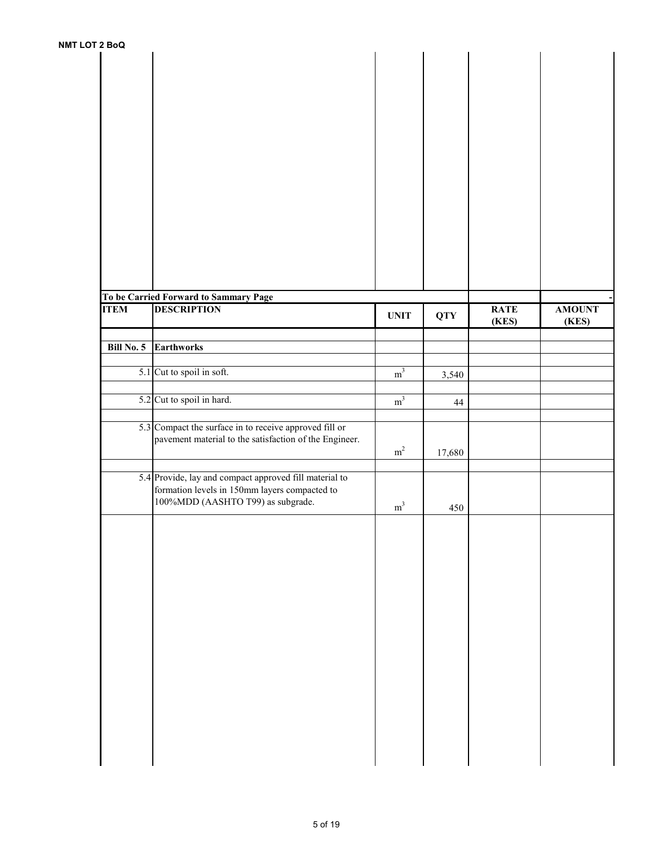| <b>UIZBOU</b>     |                                                             |                |            |             |               |
|-------------------|-------------------------------------------------------------|----------------|------------|-------------|---------------|
|                   |                                                             |                |            |             |               |
|                   |                                                             |                |            |             |               |
|                   |                                                             |                |            |             |               |
|                   |                                                             |                |            |             |               |
|                   |                                                             |                |            |             |               |
|                   |                                                             |                |            |             |               |
|                   |                                                             |                |            |             |               |
|                   |                                                             |                |            |             |               |
|                   |                                                             |                |            |             |               |
|                   |                                                             |                |            |             |               |
|                   |                                                             |                |            |             |               |
|                   |                                                             |                |            |             |               |
|                   |                                                             |                |            |             |               |
|                   |                                                             |                |            |             |               |
|                   |                                                             |                |            |             |               |
|                   |                                                             |                |            |             |               |
|                   |                                                             |                |            |             |               |
|                   |                                                             |                |            |             |               |
|                   |                                                             |                |            |             |               |
|                   |                                                             |                |            |             |               |
|                   |                                                             |                |            |             |               |
|                   |                                                             |                |            |             |               |
| <b>ITEM</b>       | To be Carried Forward to Sammary Page<br><b>DESCRIPTION</b> |                |            |             |               |
|                   |                                                             | <b>UNIT</b>    | <b>QTY</b> | <b>RATE</b> | <b>AMOUNT</b> |
|                   |                                                             |                |            | (KES)       | (KES)         |
|                   |                                                             |                |            |             |               |
| <b>Bill No. 5</b> | <b>Earthworks</b>                                           |                |            |             |               |
|                   |                                                             |                |            |             |               |
|                   | 5.1 Cut to spoil in soft.                                   | $\rm m^3$      | 3,540      |             |               |
|                   |                                                             |                |            |             |               |
|                   |                                                             |                |            |             |               |
|                   | 5.2 Cut to spoil in hard.                                   | m <sup>3</sup> | 44         |             |               |
|                   |                                                             |                |            |             |               |
|                   | 5.3 Compact the surface in to receive approved fill or      |                |            |             |               |
|                   | pavement material to the satisfaction of the Engineer.      |                |            |             |               |
|                   |                                                             | $\rm m^2$      | 17,680     |             |               |
|                   |                                                             |                |            |             |               |
|                   |                                                             |                |            |             |               |
|                   | 5.4 Provide, lay and compact approved fill material to      |                |            |             |               |
|                   | formation levels in 150mm layers compacted to               |                |            |             |               |
|                   | 100%MDD (AASHTO T99) as subgrade.                           | $\rm m^3$      | 450        |             |               |
|                   |                                                             |                |            |             |               |
|                   |                                                             |                |            |             |               |
|                   |                                                             |                |            |             |               |
|                   |                                                             |                |            |             |               |
|                   |                                                             |                |            |             |               |
|                   |                                                             |                |            |             |               |
|                   |                                                             |                |            |             |               |
|                   |                                                             |                |            |             |               |
|                   |                                                             |                |            |             |               |
|                   |                                                             |                |            |             |               |
|                   |                                                             |                |            |             |               |
|                   |                                                             |                |            |             |               |
|                   |                                                             |                |            |             |               |
|                   |                                                             |                |            |             |               |
|                   |                                                             |                |            |             |               |
|                   |                                                             |                |            |             |               |
|                   |                                                             |                |            |             |               |
|                   |                                                             |                |            |             |               |
|                   |                                                             |                |            |             |               |
|                   |                                                             |                |            |             |               |
|                   |                                                             |                |            |             |               |
|                   |                                                             |                |            |             |               |
|                   |                                                             |                |            |             |               |
|                   |                                                             |                |            |             |               |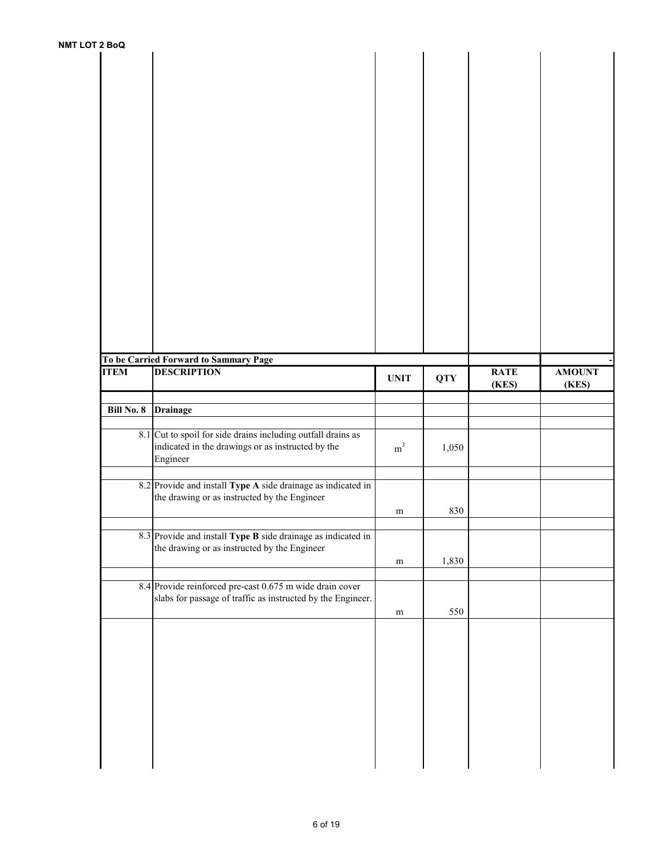| <b>NMT LOT 2 BoQ</b> |                   |                                                                                                              |                |            |                      |                        |
|----------------------|-------------------|--------------------------------------------------------------------------------------------------------------|----------------|------------|----------------------|------------------------|
|                      |                   |                                                                                                              |                |            |                      |                        |
|                      |                   |                                                                                                              |                |            |                      |                        |
|                      |                   |                                                                                                              |                |            |                      |                        |
|                      |                   |                                                                                                              |                |            |                      |                        |
|                      |                   |                                                                                                              |                |            |                      |                        |
|                      |                   |                                                                                                              |                |            |                      |                        |
|                      |                   |                                                                                                              |                |            |                      |                        |
|                      |                   |                                                                                                              |                |            |                      |                        |
|                      |                   |                                                                                                              |                |            |                      |                        |
|                      |                   |                                                                                                              |                |            |                      |                        |
|                      |                   |                                                                                                              |                |            |                      |                        |
|                      |                   |                                                                                                              |                |            |                      |                        |
|                      |                   |                                                                                                              |                |            |                      |                        |
|                      |                   |                                                                                                              |                |            |                      |                        |
|                      |                   |                                                                                                              |                |            |                      |                        |
|                      |                   |                                                                                                              |                |            |                      |                        |
|                      |                   |                                                                                                              |                |            |                      |                        |
|                      |                   |                                                                                                              |                |            |                      |                        |
|                      |                   |                                                                                                              |                |            |                      |                        |
|                      |                   |                                                                                                              |                |            |                      |                        |
|                      |                   | To be Carried Forward to Sammary Page                                                                        |                |            |                      |                        |
|                      | <b>ITEM</b>       | <b>DESCRIPTION</b>                                                                                           | <b>UNIT</b>    | <b>QTY</b> | <b>RATE</b><br>(KES) | <b>AMOUNT</b><br>(KES) |
|                      |                   |                                                                                                              |                |            |                      |                        |
|                      |                   |                                                                                                              |                |            |                      |                        |
|                      | <b>Bill No. 8</b> | <b>Drainage</b>                                                                                              |                |            |                      |                        |
|                      |                   |                                                                                                              |                |            |                      |                        |
|                      |                   | 8.1 Cut to spoil for side drains including outfall drains as                                                 |                |            |                      |                        |
|                      |                   | indicated in the drawings or as instructed by the                                                            | m <sup>3</sup> | 1,050      |                      |                        |
|                      |                   | Engineer                                                                                                     |                |            |                      |                        |
|                      |                   | 8.2 Provide and install Type A side drainage as indicated in                                                 |                |            |                      |                        |
|                      |                   | the drawing or as instructed by the Engineer                                                                 |                |            |                      |                        |
|                      |                   |                                                                                                              | m              | 830        |                      |                        |
|                      |                   |                                                                                                              |                |            |                      |                        |
|                      |                   | 8.3 Provide and install Type B side drainage as indicated in<br>the drawing or as instructed by the Engineer |                |            |                      |                        |
|                      |                   |                                                                                                              | m              | 1,830      |                      |                        |
|                      |                   |                                                                                                              |                |            |                      |                        |
|                      |                   | 8.4 Provide reinforced pre-cast 0.675 m wide drain cover                                                     |                |            |                      |                        |
|                      |                   | slabs for passage of traffic as instructed by the Engineer.                                                  |                |            |                      |                        |
|                      |                   |                                                                                                              | ${\bf m}$      | 550        |                      |                        |
|                      |                   |                                                                                                              |                |            |                      |                        |
|                      |                   |                                                                                                              |                |            |                      |                        |
|                      |                   |                                                                                                              |                |            |                      |                        |
|                      |                   |                                                                                                              |                |            |                      |                        |
|                      |                   |                                                                                                              |                |            |                      |                        |
|                      |                   |                                                                                                              |                |            |                      |                        |
|                      |                   |                                                                                                              |                |            |                      |                        |
|                      |                   |                                                                                                              |                |            |                      |                        |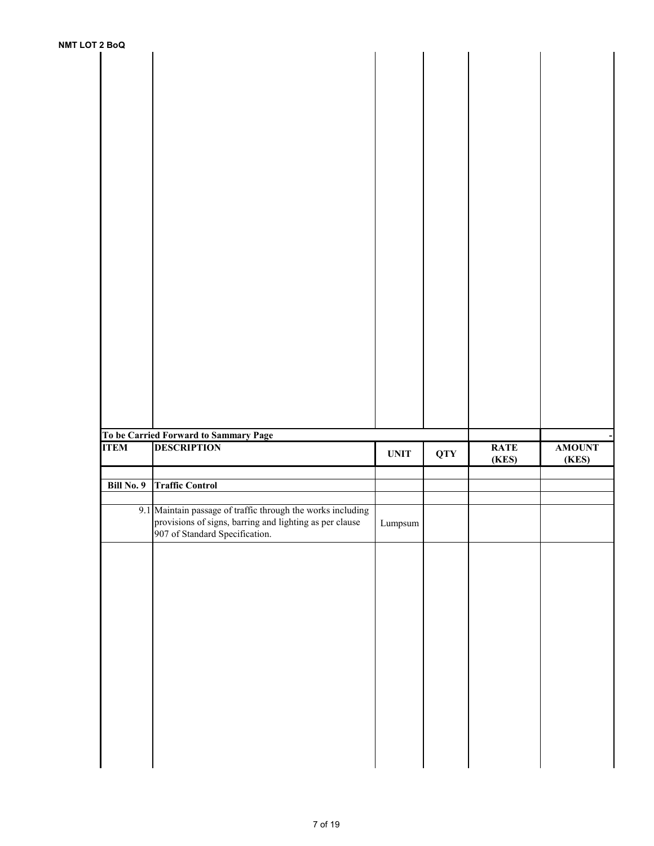|             | To be Carried Forward to Sammary Page                                                                                                                    |                  |            |             |                        |
|-------------|----------------------------------------------------------------------------------------------------------------------------------------------------------|------------------|------------|-------------|------------------------|
| <b>ITEM</b> | <b>DESCRIPTION</b>                                                                                                                                       | <b>UNIT</b>      |            | <b>RATE</b> |                        |
|             |                                                                                                                                                          |                  | <b>QTY</b> | (KES)       | <b>AMOUNT</b><br>(KES) |
|             |                                                                                                                                                          |                  |            |             |                        |
| Bill No. 9  | <b>Traffic Control</b>                                                                                                                                   |                  |            |             |                        |
|             | 9.1 Maintain passage of traffic through the works including<br>provisions of signs, barring and lighting as per clause<br>907 of Standard Specification. | $\mbox{Lumpsum}$ |            |             |                        |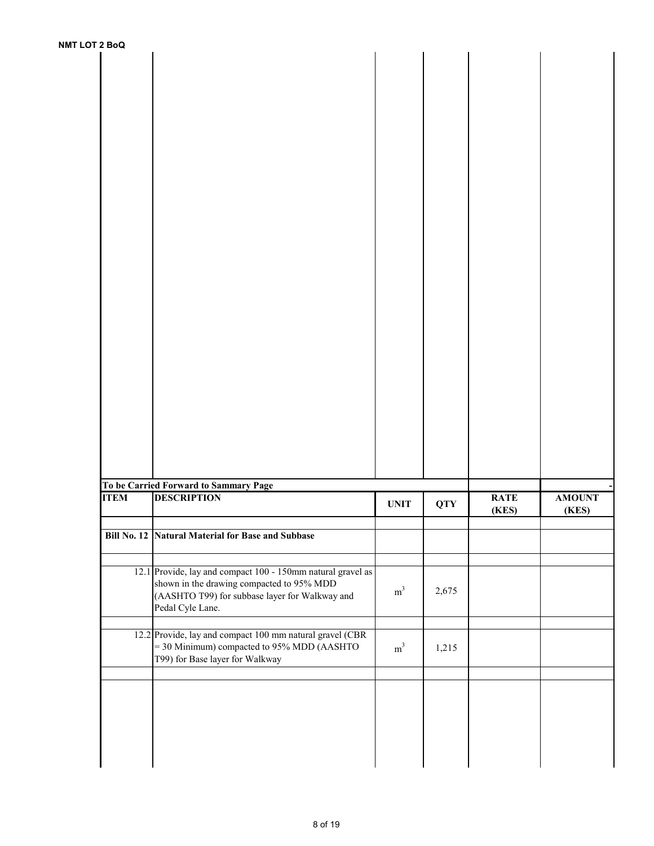| To be Carried Forward to Sammary Page<br><b>DESCRIPTION</b>                                            |                |            | <b>RATE</b> | <b>AMOUNT</b> |
|--------------------------------------------------------------------------------------------------------|----------------|------------|-------------|---------------|
|                                                                                                        | <b>UNIT</b>    | <b>QTY</b> | (KES)       | (KES)         |
| Bill No. 12 Natural Material for Base and Subbase                                                      |                |            |             |               |
|                                                                                                        |                |            |             |               |
| 12.1 Provide, lay and compact 100 - 150mm natural gravel as                                            |                |            |             |               |
| shown in the drawing compacted to 95% MDD                                                              | $\mathrm{m}^3$ | 2,675      |             |               |
| (AASHTO T99) for subbase layer for Walkway and<br>Pedal Cyle Lane.                                     |                |            |             |               |
|                                                                                                        |                |            |             |               |
| 12.2 Provide, lay and compact 100 mm natural gravel (CBR<br>= 30 Minimum) compacted to 95% MDD (AASHTO | m <sup>3</sup> | 1,215      |             |               |
| T99) for Base layer for Walkway                                                                        |                |            |             |               |
|                                                                                                        |                |            |             |               |
|                                                                                                        |                |            |             |               |
|                                                                                                        |                |            |             |               |
|                                                                                                        |                |            |             |               |
|                                                                                                        |                |            |             |               |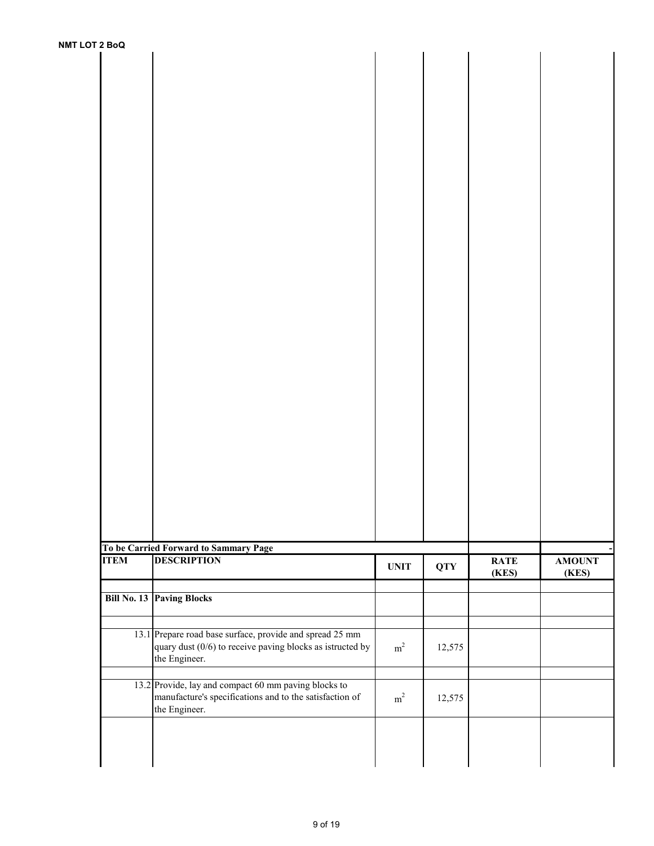| <b>NMT LOT 2 BoQ</b> |                                                             |             |            |             |               |
|----------------------|-------------------------------------------------------------|-------------|------------|-------------|---------------|
|                      |                                                             |             |            |             |               |
|                      |                                                             |             |            |             |               |
|                      |                                                             |             |            |             |               |
|                      |                                                             |             |            |             |               |
|                      |                                                             |             |            |             |               |
|                      |                                                             |             |            |             |               |
|                      |                                                             |             |            |             |               |
|                      |                                                             |             |            |             |               |
|                      |                                                             |             |            |             |               |
|                      |                                                             |             |            |             |               |
|                      |                                                             |             |            |             |               |
|                      |                                                             |             |            |             |               |
|                      |                                                             |             |            |             |               |
|                      |                                                             |             |            |             |               |
|                      |                                                             |             |            |             |               |
|                      |                                                             |             |            |             |               |
|                      |                                                             |             |            |             |               |
|                      |                                                             |             |            |             |               |
|                      |                                                             |             |            |             |               |
|                      |                                                             |             |            |             |               |
|                      |                                                             |             |            |             |               |
|                      |                                                             |             |            |             |               |
|                      |                                                             |             |            |             |               |
|                      |                                                             |             |            |             |               |
|                      |                                                             |             |            |             |               |
|                      |                                                             |             |            |             |               |
|                      |                                                             |             |            |             |               |
|                      |                                                             |             |            |             |               |
|                      | To be Carried Forward to Sammary Page                       |             |            |             |               |
| <b>ITEM</b>          | <b>DESCRIPTION</b>                                          | <b>UNIT</b> | <b>QTY</b> | <b>RATE</b> | <b>AMOUNT</b> |
|                      |                                                             |             |            | (KES)       | (KES)         |
|                      | <b>Bill No. 13 Paving Blocks</b>                            |             |            |             |               |
|                      |                                                             |             |            |             |               |
|                      | 13.1 Prepare road base surface, provide and spread 25 mm    |             |            |             |               |
|                      | quary dust $(0/6)$ to receive paving blocks as istructed by | $\rm m^2$   | 12,575     |             |               |
|                      | the Engineer.                                               |             |            |             |               |
|                      | 13.2 Provide, lay and compact 60 mm paving blocks to        |             |            |             |               |
|                      | manufacture's specifications and to the satisfaction of     | $\rm m^2$   | 12,575     |             |               |
|                      | the Engineer.                                               |             |            |             |               |
|                      |                                                             |             |            |             |               |
|                      |                                                             |             |            |             |               |
|                      |                                                             |             |            |             |               |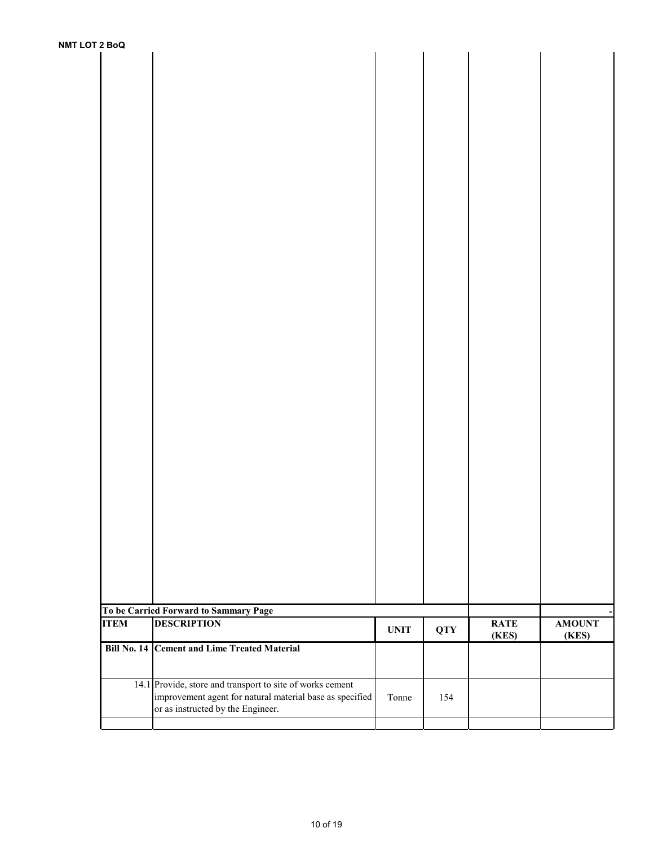| To be Carried Forward to Sammary Page<br>ITEM DESCRIPTION |             |            | <b>RATE</b> | <b>AMOUNT</b> |
|-----------------------------------------------------------|-------------|------------|-------------|---------------|
|                                                           | <b>UNIT</b> | <b>QTY</b> | (KES)       | (KES)         |
|                                                           |             |            |             |               |
| Bill No. 14 Cement and Lime Treated Material              |             |            |             |               |
|                                                           |             |            |             |               |
|                                                           |             |            |             |               |
| 14.1 Provide, store and transport to site of works cement |             |            |             |               |
| improvement agent for natural material base as specified  | Tonne       | 154        |             |               |
| or as instructed by the Engineer.                         |             |            |             |               |
|                                                           |             |            |             |               |
|                                                           |             |            |             |               |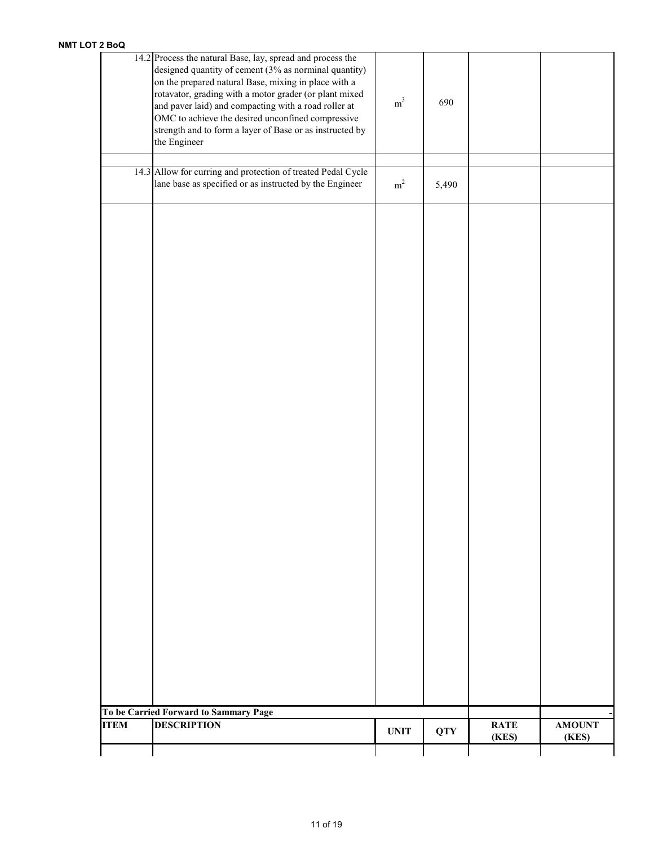| <b>ITEM</b> | <b>DESCRIPTION</b>                                                                                                      | <b>UNIT</b>    | <b>QTY</b> | <b>RATE</b><br>(KES) | <b>AMOUNT</b><br>(KES) |
|-------------|-------------------------------------------------------------------------------------------------------------------------|----------------|------------|----------------------|------------------------|
|             | To be Carried Forward to Sammary Page                                                                                   |                |            |                      |                        |
|             |                                                                                                                         |                |            |                      |                        |
|             |                                                                                                                         |                |            |                      |                        |
|             |                                                                                                                         |                |            |                      |                        |
|             |                                                                                                                         |                |            |                      |                        |
|             |                                                                                                                         |                |            |                      |                        |
|             |                                                                                                                         |                |            |                      |                        |
|             |                                                                                                                         |                |            |                      |                        |
|             |                                                                                                                         |                |            |                      |                        |
|             |                                                                                                                         |                |            |                      |                        |
|             |                                                                                                                         |                |            |                      |                        |
|             |                                                                                                                         |                |            |                      |                        |
|             |                                                                                                                         |                |            |                      |                        |
|             |                                                                                                                         |                |            |                      |                        |
|             |                                                                                                                         |                |            |                      |                        |
|             |                                                                                                                         |                |            |                      |                        |
|             |                                                                                                                         |                |            |                      |                        |
|             |                                                                                                                         |                |            |                      |                        |
|             |                                                                                                                         |                |            |                      |                        |
|             |                                                                                                                         |                |            |                      |                        |
|             |                                                                                                                         |                |            |                      |                        |
|             |                                                                                                                         |                |            |                      |                        |
|             |                                                                                                                         |                |            |                      |                        |
|             |                                                                                                                         |                |            |                      |                        |
|             |                                                                                                                         |                |            |                      |                        |
|             |                                                                                                                         |                |            |                      |                        |
|             |                                                                                                                         |                |            |                      |                        |
|             |                                                                                                                         |                |            |                      |                        |
|             |                                                                                                                         |                |            |                      |                        |
|             |                                                                                                                         |                |            |                      |                        |
|             | 14.3 Allow for curring and protection of treated Pedal Cycle<br>lane base as specified or as instructed by the Engineer | $\rm m^2$      | 5,490      |                      |                        |
|             |                                                                                                                         |                |            |                      |                        |
|             | the Engineer                                                                                                            |                |            |                      |                        |
|             | OMC to achieve the desired unconfined compressive<br>strength and to form a layer of Base or as instructed by           |                |            |                      |                        |
|             | and paver laid) and compacting with a road roller at                                                                    | $\mathrm{m}^3$ | 690        |                      |                        |
|             | rotavator, grading with a motor grader (or plant mixed                                                                  |                |            |                      |                        |
|             | on the prepared natural Base, mixing in place with a                                                                    |                |            |                      |                        |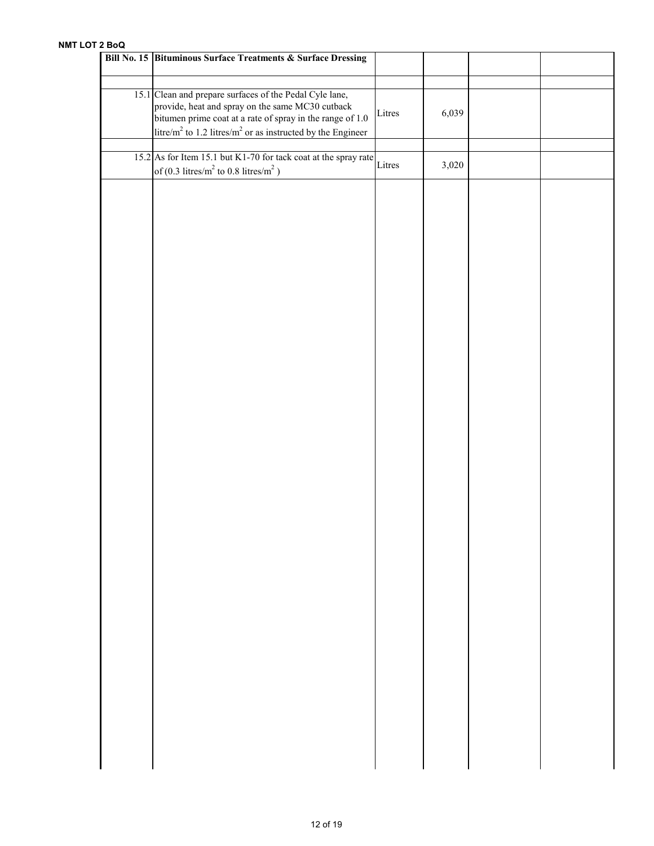| Bill No. 15 Bituminous Surface Treatments & Surface Dressing                                                                                                                                                                                                   |        |       |  |
|----------------------------------------------------------------------------------------------------------------------------------------------------------------------------------------------------------------------------------------------------------------|--------|-------|--|
| 15.1 Clean and prepare surfaces of the Pedal Cyle lane,<br>provide, heat and spray on the same MC30 cutback<br>bitumen prime coat at a rate of spray in the range of 1.0<br>litre/m <sup>2</sup> to 1.2 litres/m <sup>2</sup> or as instructed by the Engineer | Litres | 6,039 |  |
| 15.2 As for Item 15.1 but K1-70 for tack coat at the spray rate Litres<br>of (0.3 litres/ $m^2$ to 0.8 litres/ $m^2$ )                                                                                                                                         |        | 3,020 |  |
|                                                                                                                                                                                                                                                                |        |       |  |
|                                                                                                                                                                                                                                                                |        |       |  |
|                                                                                                                                                                                                                                                                |        |       |  |
|                                                                                                                                                                                                                                                                |        |       |  |
|                                                                                                                                                                                                                                                                |        |       |  |
|                                                                                                                                                                                                                                                                |        |       |  |
|                                                                                                                                                                                                                                                                |        |       |  |
|                                                                                                                                                                                                                                                                |        |       |  |
|                                                                                                                                                                                                                                                                |        |       |  |
|                                                                                                                                                                                                                                                                |        |       |  |
|                                                                                                                                                                                                                                                                |        |       |  |
|                                                                                                                                                                                                                                                                |        |       |  |
|                                                                                                                                                                                                                                                                |        |       |  |
|                                                                                                                                                                                                                                                                |        |       |  |
|                                                                                                                                                                                                                                                                |        |       |  |
|                                                                                                                                                                                                                                                                |        |       |  |
|                                                                                                                                                                                                                                                                |        |       |  |
|                                                                                                                                                                                                                                                                |        |       |  |
|                                                                                                                                                                                                                                                                |        |       |  |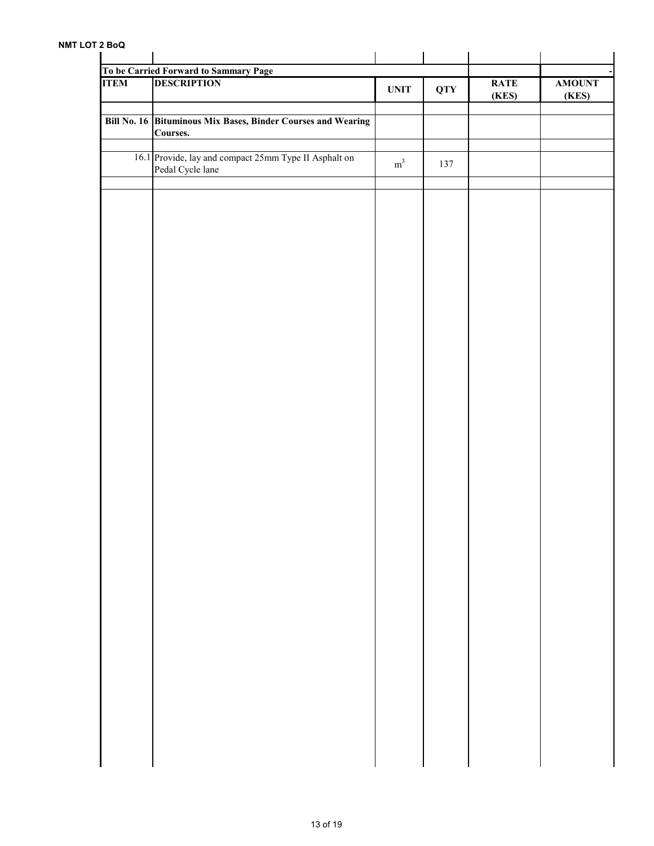| <b>DESCRIPTION</b>                                                        | $\ensuremath{\mathbf{UNIT}}$ | <b>QTY</b> | <b>RATE</b><br>(KES) | <b>AMOUNT</b><br>(KES) |
|---------------------------------------------------------------------------|------------------------------|------------|----------------------|------------------------|
| Bill No. 16 Bituminous Mix Bases, Binder Courses and Wearing<br>Courses.  |                              |            |                      |                        |
| 16.1 Provide, lay and compact 25mm Type II Asphalt on<br>Pedal Cycle lane | $\mathrm{m}^3$               | 137        |                      |                        |
|                                                                           |                              |            |                      |                        |
|                                                                           |                              |            |                      |                        |
|                                                                           |                              |            |                      |                        |
|                                                                           |                              |            |                      |                        |
|                                                                           |                              |            |                      |                        |
|                                                                           |                              |            |                      |                        |
|                                                                           |                              |            |                      |                        |
|                                                                           |                              |            |                      |                        |
|                                                                           |                              |            |                      |                        |
|                                                                           |                              |            |                      |                        |
|                                                                           |                              |            |                      |                        |
|                                                                           |                              |            |                      |                        |
|                                                                           |                              |            |                      |                        |
|                                                                           |                              |            |                      |                        |
|                                                                           |                              |            |                      |                        |
|                                                                           |                              |            |                      |                        |
|                                                                           |                              |            |                      |                        |
|                                                                           |                              |            |                      |                        |
|                                                                           |                              |            |                      |                        |
|                                                                           |                              |            |                      |                        |
|                                                                           |                              |            |                      |                        |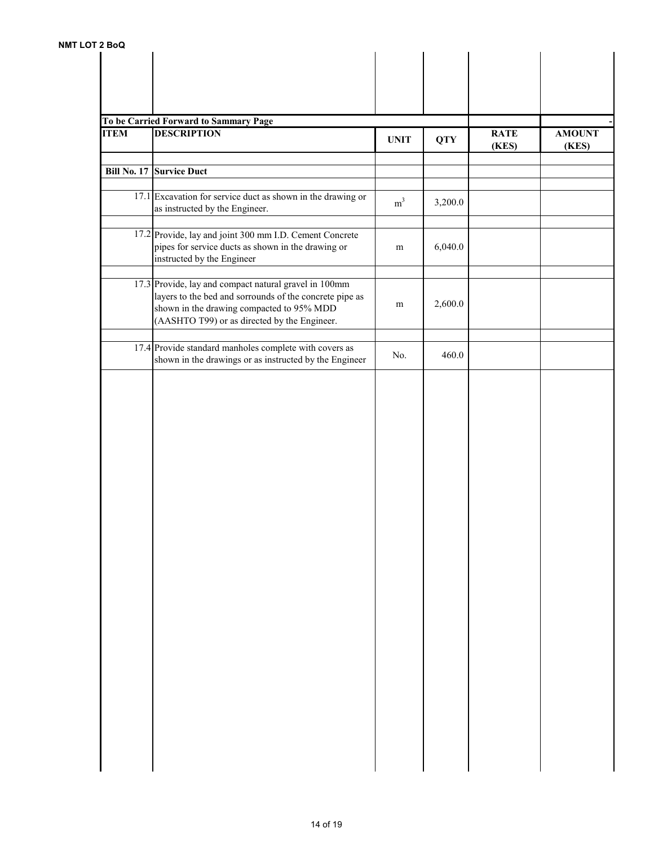| <b>ITEM</b> | To be Carried Forward to Sammary Page<br><b>DESCRIPTION</b>                                                                                                                                                   | <b>UNIT</b>    | <b>QTY</b> | <b>RATE</b><br>(KES) | <b>AMOUNT</b><br>(KES) |
|-------------|---------------------------------------------------------------------------------------------------------------------------------------------------------------------------------------------------------------|----------------|------------|----------------------|------------------------|
|             | <b>Bill No. 17 Survice Duct</b>                                                                                                                                                                               |                |            |                      |                        |
|             | 17.1 Excavation for service duct as shown in the drawing or<br>as instructed by the Engineer.                                                                                                                 | m <sup>3</sup> | 3,200.0    |                      |                        |
|             | 17.2 Provide, lay and joint 300 mm I.D. Cement Concrete<br>pipes for service ducts as shown in the drawing or<br>instructed by the Engineer                                                                   | m              | 6,040.0    |                      |                        |
|             | 17.3 Provide, lay and compact natural gravel in 100mm<br>layers to the bed and sorrounds of the concrete pipe as<br>shown in the drawing compacted to 95% MDD<br>(AASHTO T99) or as directed by the Engineer. | m              | 2,600.0    |                      |                        |
|             | 17.4 Provide standard manholes complete with covers as<br>shown in the drawings or as instructed by the Engineer                                                                                              | No.            | 460.0      |                      |                        |
|             |                                                                                                                                                                                                               |                |            |                      |                        |
|             |                                                                                                                                                                                                               |                |            |                      |                        |
|             |                                                                                                                                                                                                               |                |            |                      |                        |
|             |                                                                                                                                                                                                               |                |            |                      |                        |
|             |                                                                                                                                                                                                               |                |            |                      |                        |
|             |                                                                                                                                                                                                               |                |            |                      |                        |
|             |                                                                                                                                                                                                               |                |            |                      |                        |
|             |                                                                                                                                                                                                               |                |            |                      |                        |
|             |                                                                                                                                                                                                               |                |            |                      |                        |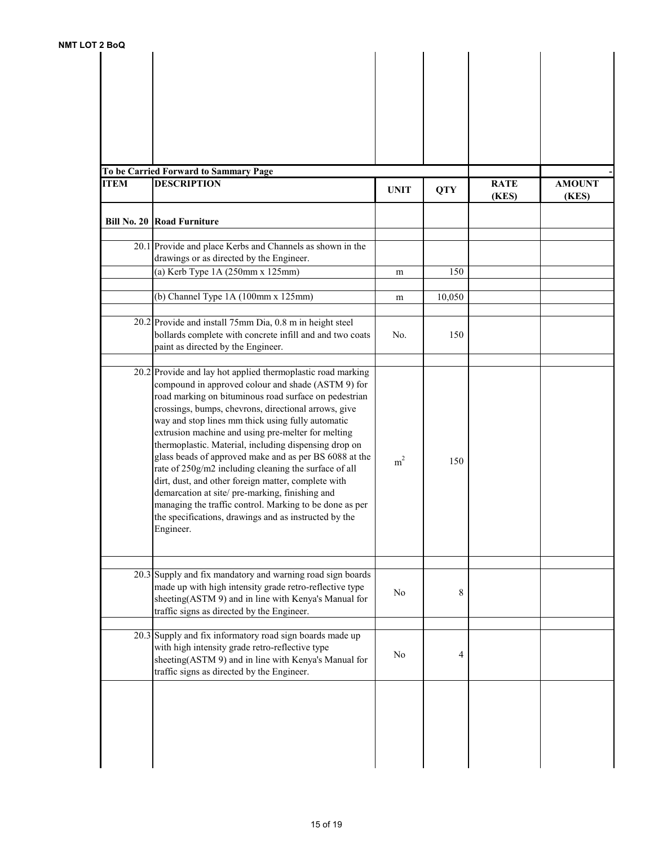| 2 BOU       |                                                                                                                                                                                                                                                                                                                                                                                                                                                                                                                                                                                                                                                                                                                                                                     |                |            |                      |                        |
|-------------|---------------------------------------------------------------------------------------------------------------------------------------------------------------------------------------------------------------------------------------------------------------------------------------------------------------------------------------------------------------------------------------------------------------------------------------------------------------------------------------------------------------------------------------------------------------------------------------------------------------------------------------------------------------------------------------------------------------------------------------------------------------------|----------------|------------|----------------------|------------------------|
|             | To be Carried Forward to Sammary Page                                                                                                                                                                                                                                                                                                                                                                                                                                                                                                                                                                                                                                                                                                                               |                |            |                      |                        |
| <b>ITEM</b> | <b>DESCRIPTION</b>                                                                                                                                                                                                                                                                                                                                                                                                                                                                                                                                                                                                                                                                                                                                                  | <b>UNIT</b>    | <b>QTY</b> | <b>RATE</b><br>(KES) | <b>AMOUNT</b><br>(KES) |
|             | <b>Bill No. 20 Road Furniture</b>                                                                                                                                                                                                                                                                                                                                                                                                                                                                                                                                                                                                                                                                                                                                   |                |            |                      |                        |
|             | 20.1 Provide and place Kerbs and Channels as shown in the<br>drawings or as directed by the Engineer.                                                                                                                                                                                                                                                                                                                                                                                                                                                                                                                                                                                                                                                               |                |            |                      |                        |
|             | (a) Kerb Type 1A (250mm x 125mm)                                                                                                                                                                                                                                                                                                                                                                                                                                                                                                                                                                                                                                                                                                                                    | m              | 150        |                      |                        |
|             | (b) Channel Type 1A (100mm x 125mm)                                                                                                                                                                                                                                                                                                                                                                                                                                                                                                                                                                                                                                                                                                                                 | m              | 10,050     |                      |                        |
|             | 20.2 Provide and install 75mm Dia, 0.8 m in height steel<br>bollards complete with concrete infill and and two coats<br>paint as directed by the Engineer.                                                                                                                                                                                                                                                                                                                                                                                                                                                                                                                                                                                                          | No.            | 150        |                      |                        |
|             | 20.2 Provide and lay hot applied thermoplastic road marking<br>compound in approved colour and shade (ASTM 9) for<br>road marking on bituminous road surface on pedestrian<br>crossings, bumps, chevrons, directional arrows, give<br>way and stop lines mm thick using fully automatic<br>extrusion machine and using pre-melter for melting<br>thermoplastic. Material, including dispensing drop on<br>glass beads of approved make and as per BS 6088 at the<br>rate of 250g/m2 including cleaning the surface of all<br>dirt, dust, and other foreign matter, complete with<br>demarcation at site/pre-marking, finishing and<br>managing the traffic control. Marking to be done as per<br>the specifications, drawings and as instructed by the<br>Engineer. | m <sup>2</sup> | 150        |                      |                        |
|             | $20.3$ Supply and fix mandatory and warning road sign boards<br>made up with high intensity grade retro-reflective type<br>sheeting(ASTM 9) and in line with Kenya's Manual for<br>traffic signs as directed by the Engineer.                                                                                                                                                                                                                                                                                                                                                                                                                                                                                                                                       | N <sub>0</sub> | 8          |                      |                        |
|             | 20.3 Supply and fix informatory road sign boards made up<br>with high intensity grade retro-reflective type<br>sheeting(ASTM 9) and in line with Kenya's Manual for<br>traffic signs as directed by the Engineer.                                                                                                                                                                                                                                                                                                                                                                                                                                                                                                                                                   | No             | 4          |                      |                        |
|             |                                                                                                                                                                                                                                                                                                                                                                                                                                                                                                                                                                                                                                                                                                                                                                     |                |            |                      |                        |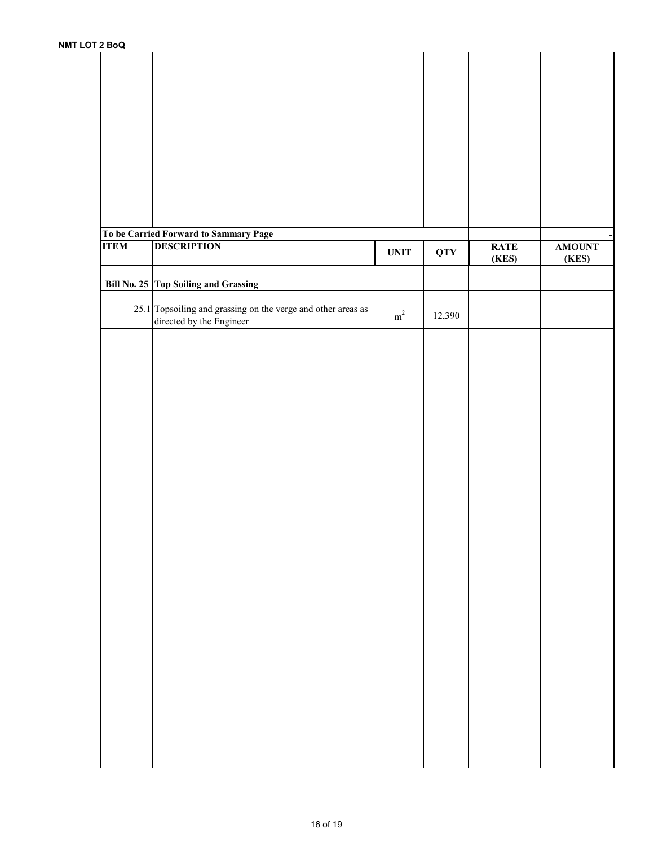| <b>S</b> ROM |                                                              |                              |            |             |               |
|--------------|--------------------------------------------------------------|------------------------------|------------|-------------|---------------|
|              |                                                              |                              |            |             |               |
|              |                                                              |                              |            |             |               |
|              |                                                              |                              |            |             |               |
|              |                                                              |                              |            |             |               |
|              |                                                              |                              |            |             |               |
|              |                                                              |                              |            |             |               |
|              |                                                              |                              |            |             |               |
|              |                                                              |                              |            |             |               |
|              |                                                              |                              |            |             |               |
|              |                                                              |                              |            |             |               |
|              |                                                              |                              |            |             |               |
|              |                                                              |                              |            |             |               |
|              |                                                              |                              |            |             |               |
|              |                                                              |                              |            |             |               |
|              |                                                              |                              |            |             |               |
|              |                                                              |                              |            |             |               |
|              |                                                              |                              |            |             |               |
|              | To be Carried Forward to Sammary Page                        |                              |            |             |               |
| <b>ITEM</b>  | <b>DESCRIPTION</b>                                           |                              |            | <b>RATE</b> | <b>AMOUNT</b> |
|              |                                                              | $\ensuremath{\mathbf{UNIT}}$ | <b>QTY</b> |             |               |
|              |                                                              |                              |            | (KES)       | (KES)         |
|              |                                                              |                              |            |             |               |
|              | Bill No. 25 Top Soiling and Grassing                         |                              |            |             |               |
|              |                                                              |                              |            |             |               |
|              |                                                              |                              |            |             |               |
|              | 25.1 Topsoiling and grassing on the verge and other areas as | $\rm m^2$                    | 12,390     |             |               |
|              | directed by the Engineer                                     |                              |            |             |               |
|              |                                                              |                              |            |             |               |
|              |                                                              |                              |            |             |               |
|              |                                                              |                              |            |             |               |
|              |                                                              |                              |            |             |               |
|              |                                                              |                              |            |             |               |
|              |                                                              |                              |            |             |               |
|              |                                                              |                              |            |             |               |
|              |                                                              |                              |            |             |               |
|              |                                                              |                              |            |             |               |
|              |                                                              |                              |            |             |               |
|              |                                                              |                              |            |             |               |
|              |                                                              |                              |            |             |               |
|              |                                                              |                              |            |             |               |
|              |                                                              |                              |            |             |               |
|              |                                                              |                              |            |             |               |
|              |                                                              |                              |            |             |               |
|              |                                                              |                              |            |             |               |
|              |                                                              |                              |            |             |               |
|              |                                                              |                              |            |             |               |
|              |                                                              |                              |            |             |               |
|              |                                                              |                              |            |             |               |
|              |                                                              |                              |            |             |               |
|              |                                                              |                              |            |             |               |
|              |                                                              |                              |            |             |               |
|              |                                                              |                              |            |             |               |
|              |                                                              |                              |            |             |               |
|              |                                                              |                              |            |             |               |
|              |                                                              |                              |            |             |               |
|              |                                                              |                              |            |             |               |
|              |                                                              |                              |            |             |               |
|              |                                                              |                              |            |             |               |
|              |                                                              |                              |            |             |               |
|              |                                                              |                              |            |             |               |
|              |                                                              |                              |            |             |               |
|              |                                                              |                              |            |             |               |
|              |                                                              |                              |            |             |               |
|              |                                                              |                              |            |             |               |
|              |                                                              |                              |            |             |               |
|              |                                                              |                              |            |             |               |
|              |                                                              |                              |            |             |               |
|              |                                                              |                              |            |             |               |
|              |                                                              |                              |            |             |               |
|              |                                                              |                              |            |             |               |
|              |                                                              |                              |            |             |               |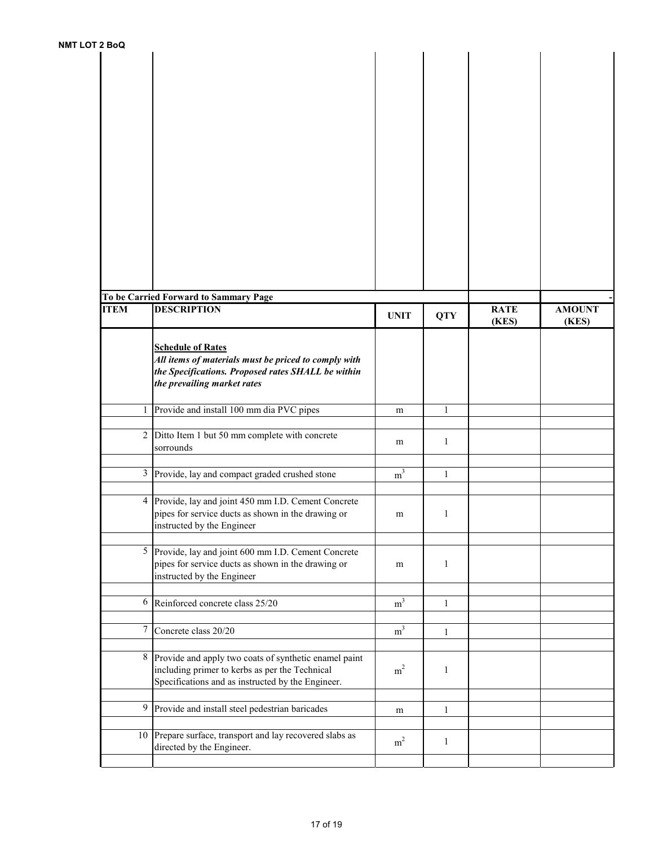| 2 DUW           |                                                                                                                                                                       |                |              |                      |                        |
|-----------------|-----------------------------------------------------------------------------------------------------------------------------------------------------------------------|----------------|--------------|----------------------|------------------------|
|                 |                                                                                                                                                                       |                |              |                      |                        |
|                 | To be Carried Forward to Sammary Page                                                                                                                                 |                |              |                      |                        |
| <b>ITEM</b>     | <b>DESCRIPTION</b>                                                                                                                                                    | <b>UNIT</b>    | <b>QTY</b>   | <b>RATE</b><br>(KES) | <b>AMOUNT</b><br>(KES) |
|                 | <b>Schedule of Rates</b><br>All items of materials must be priced to comply with<br>the Specifications. Proposed rates SHALL be within<br>the prevailing market rates |                |              |                      |                        |
|                 | 1 Provide and install 100 mm dia PVC pipes                                                                                                                            | m              | $\mathbf{1}$ |                      |                        |
| $\overline{2}$  | Ditto Item 1 but 50 mm complete with concrete<br>sorrounds                                                                                                            | m              | $\mathbf{1}$ |                      |                        |
| 3 <sup>1</sup>  | Provide, lay and compact graded crushed stone                                                                                                                         | m <sup>3</sup> | $\mathbf{1}$ |                      |                        |
| $4 \mid$        | Provide, lay and joint 450 mm I.D. Cement Concrete<br>pipes for service ducts as shown in the drawing or<br>instructed by the Engineer                                | m              | $\mathbf{1}$ |                      |                        |
|                 | 5 Provide, lay and joint 600 mm I.D. Cement Concrete<br>pipes for service ducts as shown in the drawing or<br>instructed by the Engineer                              | m              | $\mathbf{1}$ |                      |                        |
| 6               | Reinforced concrete class 25/20                                                                                                                                       | m <sup>3</sup> | $\mathbf{1}$ |                      |                        |
| 7               | Concrete class 20/20                                                                                                                                                  | m <sup>3</sup> | $\mathbf{1}$ |                      |                        |
|                 | 8 Provide and apply two coats of synthetic enamel paint<br>including primer to kerbs as per the Technical<br>Specifications and as instructed by the Engineer.        | m <sup>2</sup> | $\mathbf{1}$ |                      |                        |
| 9               | Provide and install steel pedestrian baricades                                                                                                                        | m              | $\mathbf{1}$ |                      |                        |
| 10 <sup>1</sup> | Prepare surface, transport and lay recovered slabs as<br>directed by the Engineer.                                                                                    | m <sup>2</sup> | $\mathbf{1}$ |                      |                        |
|                 |                                                                                                                                                                       |                |              |                      |                        |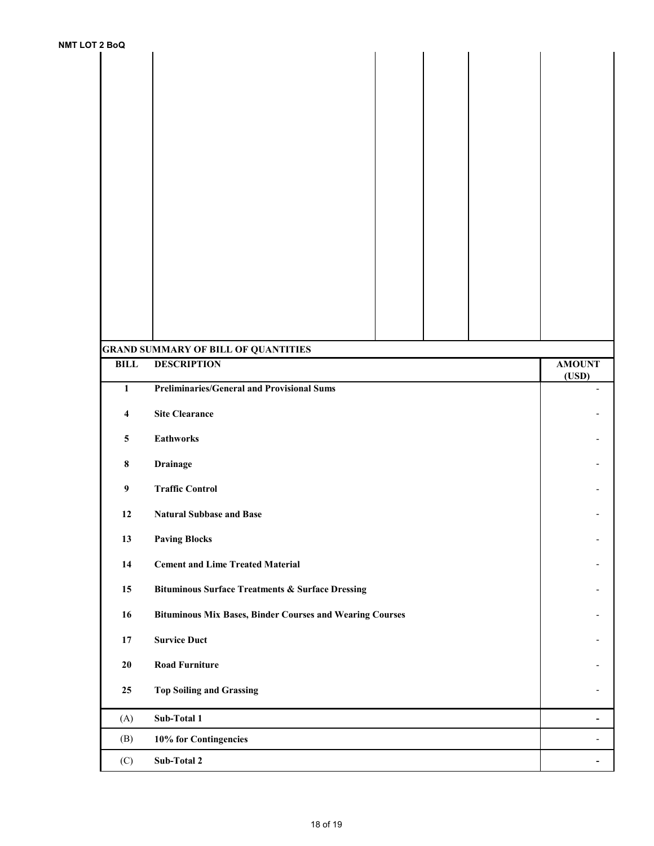| אטש⊾ ו                  |                                                                  |                          |  |  |  |
|-------------------------|------------------------------------------------------------------|--------------------------|--|--|--|
|                         |                                                                  |                          |  |  |  |
|                         |                                                                  |                          |  |  |  |
|                         |                                                                  |                          |  |  |  |
|                         |                                                                  |                          |  |  |  |
|                         |                                                                  |                          |  |  |  |
|                         |                                                                  |                          |  |  |  |
|                         |                                                                  |                          |  |  |  |
|                         |                                                                  |                          |  |  |  |
|                         |                                                                  |                          |  |  |  |
| <b>BILL</b>             | <b>GRAND SUMMARY OF BILL OF QUANTITIES</b><br><b>DESCRIPTION</b> |                          |  |  |  |
| $\mathbf{1}$            | <b>Preliminaries/General and Provisional Sums</b>                |                          |  |  |  |
| $\overline{\mathbf{4}}$ | <b>Site Clearance</b>                                            |                          |  |  |  |
| $\overline{\mathbf{5}}$ | <b>Eathworks</b>                                                 |                          |  |  |  |
| $\bf 8$                 | <b>Drainage</b>                                                  |                          |  |  |  |
| $\boldsymbol{9}$        | <b>Traffic Control</b>                                           |                          |  |  |  |
| 12                      | <b>Natural Subbase and Base</b>                                  |                          |  |  |  |
| 13                      | <b>Paving Blocks</b>                                             |                          |  |  |  |
| 14                      | <b>Cement and Lime Treated Material</b>                          |                          |  |  |  |
| 15                      | <b>Bituminous Surface Treatments &amp; Surface Dressing</b>      |                          |  |  |  |
| 16                      | <b>Bituminous Mix Bases, Binder Courses and Wearing Courses</b>  |                          |  |  |  |
| $17\,$                  | <b>Survice Duct</b>                                              |                          |  |  |  |
| ${\bf 20}$              | <b>Road Furniture</b>                                            |                          |  |  |  |
| 25                      | <b>Top Soiling and Grassing</b>                                  |                          |  |  |  |
|                         |                                                                  |                          |  |  |  |
| (A)                     | Sub-Total 1                                                      | $\overline{\phantom{a}}$ |  |  |  |
| (B)                     | 10% for Contingencies                                            | $\overline{\phantom{a}}$ |  |  |  |